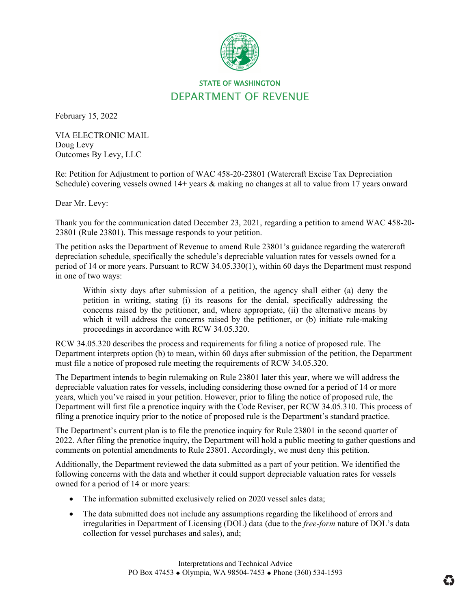

## STATE OF WASHINGTON DEPARTMENT OF REVENUE

February 15, 2022

VIA ELECTRONIC MAIL Doug Levy Outcomes By Levy, LLC

Re: Petition for Adjustment to portion of WAC 458-20-23801 (Watercraft Excise Tax Depreciation Schedule) covering vessels owned  $14+$  years  $\&$  making no changes at all to value from 17 years onward

Dear Mr. Levy:

Thank you for the communication dated December 23, 2021, regarding a petition to amend WAC 458-20- 23801 (Rule 23801). This message responds to your petition.

The petition asks the Department of Revenue to amend Rule 23801's guidance regarding the watercraft depreciation schedule, specifically the schedule's depreciable valuation rates for vessels owned for a period of 14 or more years. Pursuant to RCW 34.05.330(1), within 60 days the Department must respond in one of two ways:

Within sixty days after submission of a petition, the agency shall either (a) deny the petition in writing, stating (i) its reasons for the denial, specifically addressing the concerns raised by the petitioner, and, where appropriate, (ii) the alternative means by which it will address the concerns raised by the petitioner, or (b) initiate rule-making proceedings in accordance with RCW 34.05.320.

RCW 34.05.320 describes the process and requirements for filing a notice of proposed rule. The Department interprets option (b) to mean, within 60 days after submission of the petition, the Department must file a notice of proposed rule meeting the requirements of RCW 34.05.320.

The Department intends to begin rulemaking on Rule 23801 later this year, where we will address the depreciable valuation rates for vessels, including considering those owned for a period of 14 or more years, which you've raised in your petition. However, prior to filing the notice of proposed rule, the Department will first file a prenotice inquiry with the Code Reviser, per RCW 34.05.310. This process of filing a prenotice inquiry prior to the notice of proposed rule is the Department's standard practice.

The Department's current plan is to file the prenotice inquiry for Rule 23801 in the second quarter of 2022. After filing the prenotice inquiry, the Department will hold a public meeting to gather questions and comments on potential amendments to Rule 23801. Accordingly, we must deny this petition.

Additionally, the Department reviewed the data submitted as a part of your petition. We identified the following concerns with the data and whether it could support depreciable valuation rates for vessels owned for a period of 14 or more years:

- The information submitted exclusively relied on 2020 vessel sales data;
- The data submitted does not include any assumptions regarding the likelihood of errors and irregularities in Department of Licensing (DOL) data (due to the *free-form* nature of DOL's data collection for vessel purchases and sales), and;